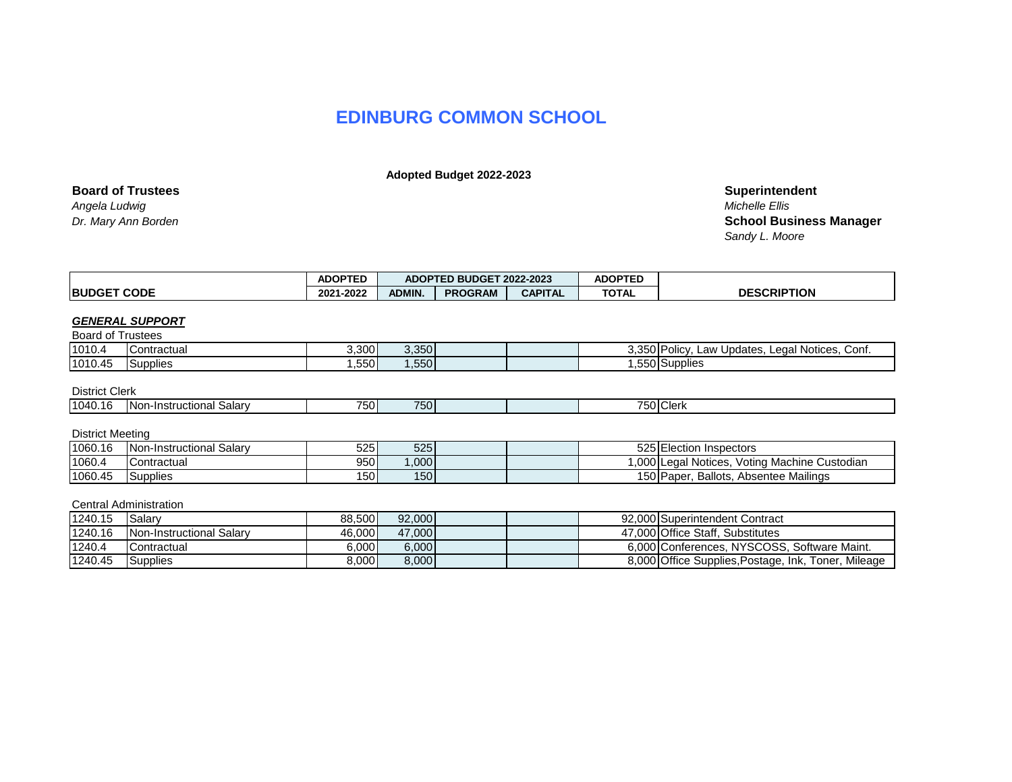# **EDINBURG COMMON SCHOOL**

 **Adopted Budget 2022-2023**

| <b>Board of Trustees</b> | Superinten            |
|--------------------------|-----------------------|
| Angela Ludwig            | <b>Michelle Ellis</b> |
|                          |                       |

**Superintendent**<br>Michelle Ellis *Dr. Mary Ann Borden* **School Business Manager** *Sandy L. Moore*

|                          |                               |                  |               | ADOPTED BUDGET 2022-2023 |                | <b>ADOPTED</b> |                                                 |
|--------------------------|-------------------------------|------------------|---------------|--------------------------|----------------|----------------|-------------------------------------------------|
|                          | <b>BUDGET CODE</b>            |                  | <b>ADMIN.</b> | <b>PROGRAM</b>           | <b>CAPITAL</b> | <b>TOTAL</b>   | <b>DESCRIPTION</b>                              |
|                          |                               |                  |               |                          |                |                |                                                 |
|                          | <b>GENERAL SUPPORT</b>        |                  |               |                          |                |                |                                                 |
| <b>Board of Trustees</b> |                               |                  |               |                          |                |                |                                                 |
| 1010.4                   | Contractual                   | 3,300            | 3,350         |                          |                |                | 3,350 Policy, Law Updates, Legal Notices, Conf. |
| 1010.45                  | Supplies                      | ,550             | 1,550         |                          |                |                | 1,550 Supplies                                  |
|                          |                               |                  |               |                          |                |                |                                                 |
| <b>District Clerk</b>    |                               |                  |               |                          |                |                |                                                 |
| 1040.16                  | Non-Instructional Salary      | 750 <sup> </sup> | 750           |                          |                |                | 750 Clerk                                       |
|                          |                               |                  |               |                          |                |                |                                                 |
| District Meeting         |                               |                  |               |                          |                |                |                                                 |
| 1060.16                  | Non-Instructional Salary      | 525              | 525           |                          |                |                | 525 Election Inspectors                         |
| 1060.4                   | Contractual                   | 950              | ,000          |                          |                |                | 1,000 Legal Notices, Voting Machine Custodian   |
| 1060.45                  | Supplies                      | <b>150</b>       | 150           |                          |                |                | 150 Paper, Ballots, Absentee Mailings           |
|                          |                               |                  |               |                          |                |                |                                                 |
|                          | <b>Central Administration</b> |                  |               |                          |                |                |                                                 |
| 1240.15                  | Salary                        | 88,500           | 92,000        |                          |                |                | 92,000 Superintendent Contract                  |
| 1240.16                  | Non-Instructional Salary      | 46,000           | 47,000        |                          |                |                | 47,000 Office Staff, Substitutes                |
| 1240.4                   | Contractual                   | 6,000            | 6,000         |                          |                |                | 6,000 Conferences, NYSCOSS, Software Maint.     |

1240.4 Contractual **6,000** 6,000 6,000 6,000 6,000 6,000 6,000 Conferences, NYSCOSS, Software Maint. 1240.45 Supplies 10 8,000 8,000 8,000 8,000 8,000 8,000 8,000 8,000 8,000 Office Supplies,Postage, Ink, Toner, Mileage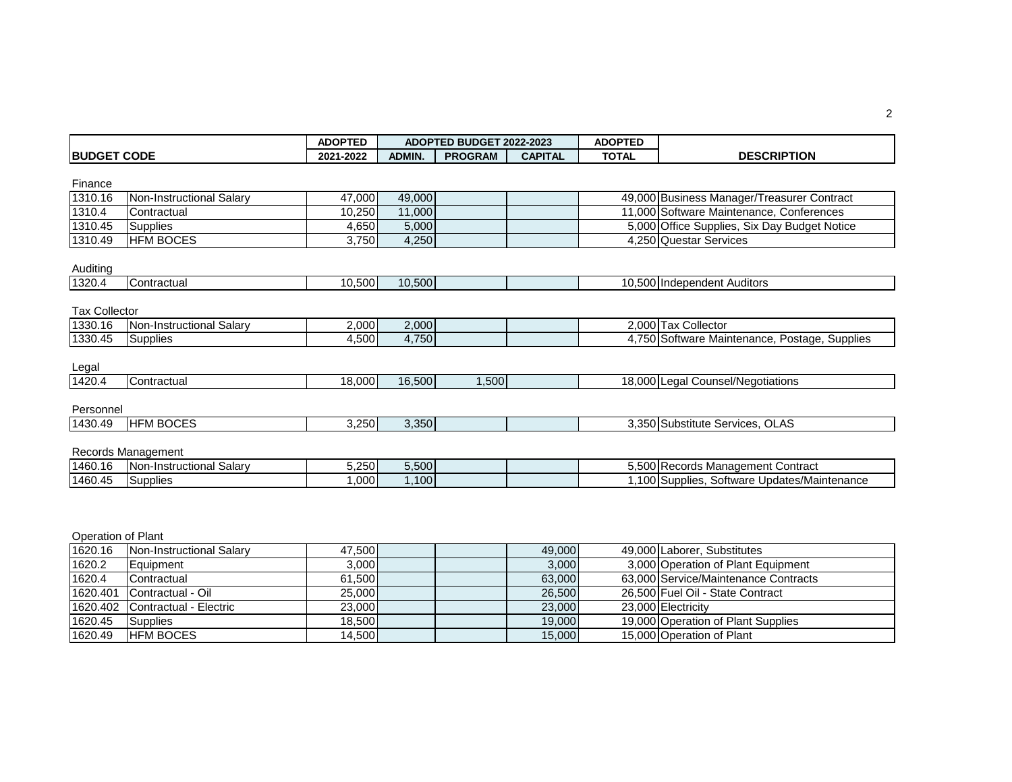|                      |                          | <b>ADOPTED</b> |               | <b>ADOPTED BUDGET 2022-2023</b> |                | <b>ADOPTED</b> |                                               |
|----------------------|--------------------------|----------------|---------------|---------------------------------|----------------|----------------|-----------------------------------------------|
| <b>BUDGET CODE</b>   |                          | 2021-2022      | <b>ADMIN.</b> | <b>PROGRAM</b>                  | <b>CAPITAL</b> | <b>TOTAL</b>   | <b>DESCRIPTION</b>                            |
|                      |                          |                |               |                                 |                |                |                                               |
| Finance              |                          |                |               |                                 |                |                |                                               |
| 1310.16              | Non-Instructional Salary | 47,000         | 49,000        |                                 |                |                | 49,000 Business Manager/Treasurer Contract    |
| 1310.4               | Contractual              | 10,250         | 11,000        |                                 |                |                | 11,000 Software Maintenance, Conferences      |
| 1310.45              | Supplies                 | 4,650          | 5,000         |                                 |                |                | 5,000 Office Supplies, Six Day Budget Notice  |
| 1310.49              | <b>HFM BOCES</b>         | 3,750          | 4,250         |                                 |                |                | 4,250 Questar Services                        |
|                      |                          |                |               |                                 |                |                |                                               |
| Auditing             |                          |                |               |                                 |                |                |                                               |
| 1320.4               | Contractual              | 10,500         | 10,500        |                                 |                |                | 10,500 Independent Auditors                   |
|                      |                          |                |               |                                 |                |                |                                               |
| <b>Tax Collector</b> |                          |                |               |                                 |                |                |                                               |
| 1330.16              | Non-Instructional Salary | 2,000          | 2,000         |                                 |                |                | 2,000 Tax Collector                           |
| 1330.45              | <b>Supplies</b>          | 4,500          | 4,750         |                                 |                |                | 4,750 Software Maintenance, Postage, Supplies |
|                      |                          |                |               |                                 |                |                |                                               |
| Legal                |                          |                |               |                                 |                |                |                                               |
| 1420.4               | Contractual              | 18,000         | 16,500        | 1,500                           |                |                | 18,000 Legal Counsel/Negotiations             |
|                      |                          |                |               |                                 |                |                |                                               |
| Personnel            |                          |                |               |                                 |                |                |                                               |
| 1430.49              | <b>HFM BOCES</b>         | 3,250          | 3,350         |                                 |                |                | 3,350 Substitute Services, OLAS               |
|                      |                          |                |               |                                 |                |                |                                               |
|                      | Records Management       |                |               |                                 |                |                |                                               |
| 1460.16              | Non-Instructional Salary | 5,250          | 5,500         |                                 |                |                | 5,500 Records Management Contract             |
| 1460.45              | <b>Supplies</b>          | 1,000          | 1,100         |                                 |                |                | 1,100 Supplies, Software Updates/Maintenance  |

| Operation of Plant |  |  |
|--------------------|--|--|
|--------------------|--|--|

| 1620.16  | <b>Non-Instructional Salary</b> | 47.500 | 49,000 | 49,000 Laborer, Substitutes          |
|----------|---------------------------------|--------|--------|--------------------------------------|
| 1620.2   | Equipment                       | 3,000  | 3,000  | 3,000 Operation of Plant Equipment   |
| 1620.4   | Contractual                     | 61.500 | 63.000 | 63.000 Service/Maintenance Contracts |
| 1620.401 | Contractual - Oil               | 25,000 | 26,500 | 26.500 Fuel Oil - State Contract     |
|          | 1620.402 Contractual - Electric | 23,000 | 23,000 | 23.000 Electricity                   |
| 1620.45  | Supplies                        | 18.500 | 19,000 | 19,000 Operation of Plant Supplies   |
| 1620.49  | <b>HEM BOCES</b>                | 14,500 | 15,000 | 15,000 Operation of Plant            |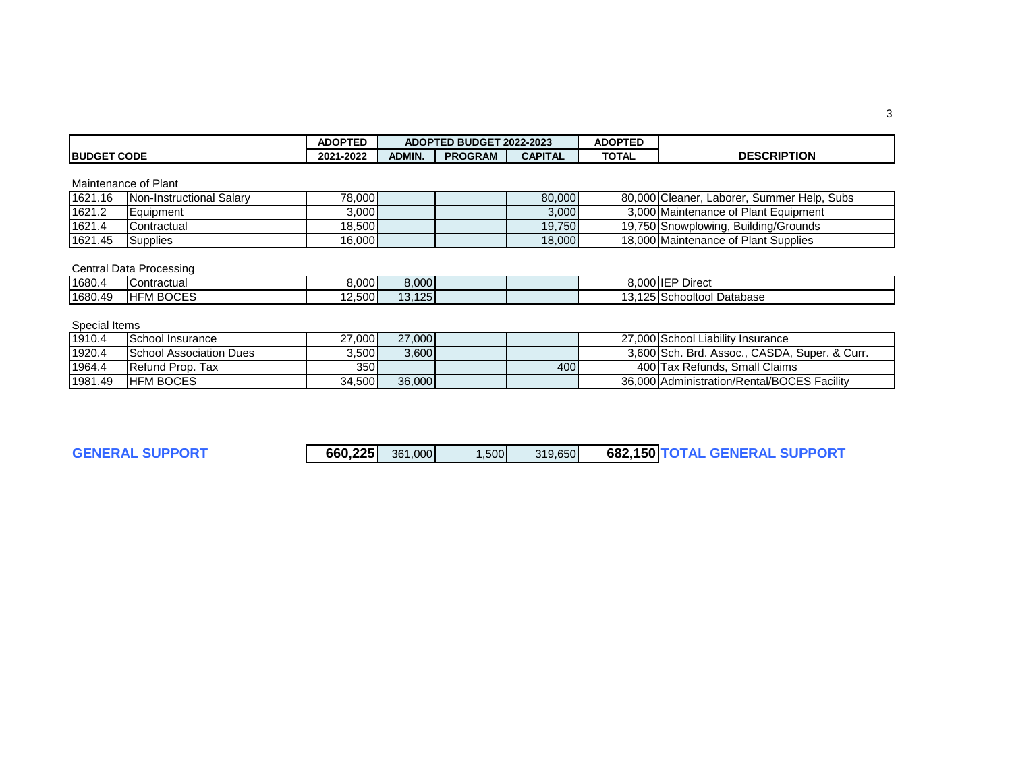|                    | <b>ADOPTED</b>               | ADOPTED BUDGET 2022-2023 |                |                | <b>ADOPTED</b> |                    |
|--------------------|------------------------------|--------------------------|----------------|----------------|----------------|--------------------|
| <b>BUDGET CODE</b> | $-2022$<br>2021 <sup>.</sup> | ADMIN.                   | <b>PROGRAM</b> | <b>CAPITAL</b> | <b>TOTAL</b>   | <b>DESCRIPTION</b> |

## Maintenance of Plant

| 1621.16 | Non-Instructional Salary | 78,000 | 80,000 | 80,000 Cleaner, Laborer, Summer Help, Subs |
|---------|--------------------------|--------|--------|--------------------------------------------|
| 1621.2  | Equipment                | 3,000  | 3,000  | 3.000 Maintenance of Plant Equipment       |
| 1621.4  | <b>Contractual</b>       | 18.500 | 19.750 | 19.750 Snowplowing, Building/Grounds       |
| 1621.45 | Supplies                 | 16,000 | 18,000 | 18,000 Maintenance of Plant Supplies       |

## Central Data Processing

| 1680.4  | Contractual     | 8.000  | 8,000            |          | 8,000 IEP Direct         |
|---------|-----------------|--------|------------------|----------|--------------------------|
| 1680.49 | M BOCES<br>IHF! | 12,500 | 125<br>12<br>10. | ָ<br>. . | ,125 Schooltool Database |

## Special Items

| 1910.4  | School Insurance               | 27.000 | 27,000 |     | 27.000 School Liability Insurance             |
|---------|--------------------------------|--------|--------|-----|-----------------------------------------------|
| 1920.4  | <b>School Association Dues</b> | 3.500  | 3.600  |     | 3.600 Sch. Brd. Assoc., CASDA. Super, & Curr. |
| 1964.4  | <b>Refund Prop. Tax</b>        | 350l   |        | 400 | 400 Tax Refunds, Small Claims                 |
| 1981.49 | <b>HEM BOCES</b>               | 34,500 | 36,000 |     | 36,000 Administration/Rental/BOCES Facility   |

**GENERAL SUPPORT** 

| 660,225 | 361,000 | .500 | 319.650 |  | 682,150 TOTAL GENERAL SUPPORT |
|---------|---------|------|---------|--|-------------------------------|
|---------|---------|------|---------|--|-------------------------------|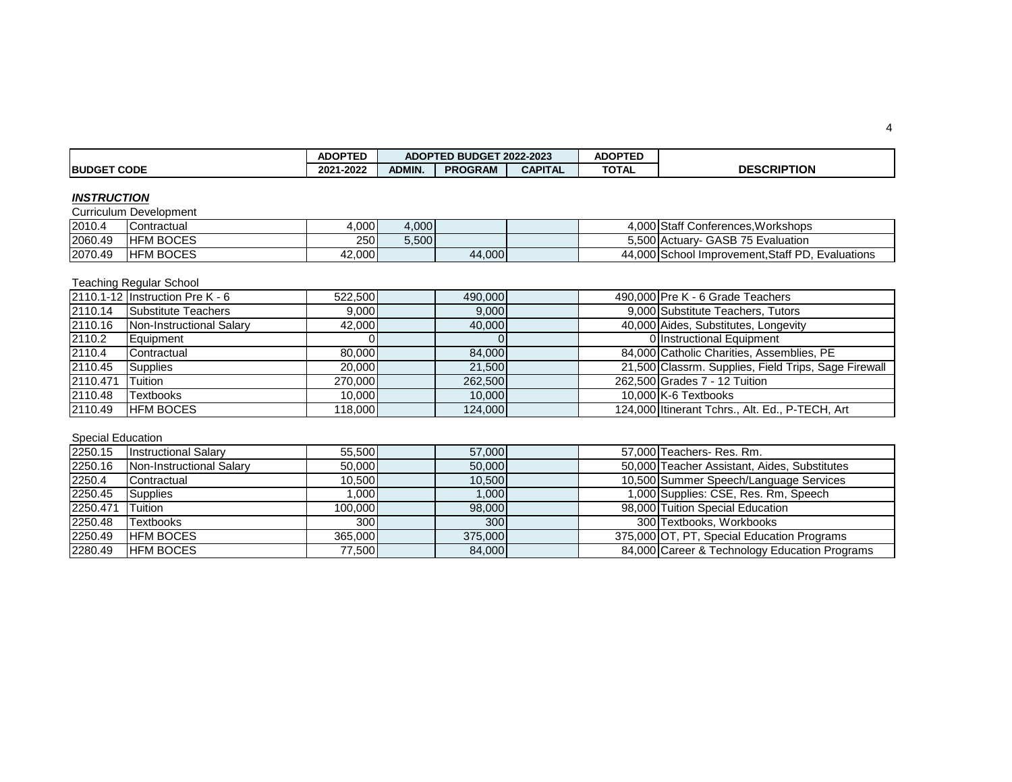|                    | <b>ADOPTED</b> |        | ADOPTED BUDGET 2022-2023 |                |              |                    |
|--------------------|----------------|--------|--------------------------|----------------|--------------|--------------------|
| <b>BUDGET CODE</b> | 2021-2022      | ADMIN. | <b>PROGRAM</b>           | <b>CAPITAL</b> | <b>TOTAL</b> | <b>DESCRIPTION</b> |

### *INSTRUCTION*

Curriculum Development

| 2010.4  | Contractual       | 4,000      | 4.000 |        |  | 4.000 Staff Conferences. Workshops                      |
|---------|-------------------|------------|-------|--------|--|---------------------------------------------------------|
| 2060.49 | <b>IHFM BOCES</b> | <b>250</b> | 3,500 |        |  | 5,500 Actuary- GASB 75 Evaluation                       |
| 2070.49 | <b>IHFM BOCES</b> | 42,000     |       | 44,000 |  | 44.000 School<br>I Improvement Staff PD.<br>Evaluations |

# Teaching Regular School

|          | 2110.1-12 Instruction Pre K - 6 | 522,500 | 490,000 |  | 490,000 Pre K - 6 Grade Teachers                     |
|----------|---------------------------------|---------|---------|--|------------------------------------------------------|
| 2110.14  | Substitute Teachers             | 9.000   | 9,000   |  | 9,000 Substitute Teachers, Tutors                    |
| 2110.16  | Non-Instructional Salary        | 42,000  | 40,000  |  | 40,000 Aides, Substitutes, Longevity                 |
| 2110.2   | Equipment                       |         |         |  | 0 Instructional Equipment                            |
| 2110.4   | Contractual                     | 80.000  | 84.000  |  | 84,000 Catholic Charities, Assemblies, PE            |
| 2110.45  | <b>Supplies</b>                 | 20,000  | 21.500  |  | 21,500 Classrm. Supplies, Field Trips, Sage Firewall |
| 2110.471 | Tuition                         | 270.000 | 262,500 |  | 262,500 Grades 7 - 12 Tuition                        |
| 2110.48  | <b>Textbooks</b>                | 10.000  | 10.000  |  | 10.000 K-6 Textbooks                                 |
| 2110.49  | <b>HFM BOCES</b>                | 118,000 | 124.000 |  | 124,000 Itinerant Tchrs., Alt. Ed., P-TECH, Art      |

# Special Education

| 2250.15  | <b>Instructional Salary</b> | 55.500           | 57,000           |  | 57,000 Teachers- Res. Rm.                     |
|----------|-----------------------------|------------------|------------------|--|-----------------------------------------------|
| 2250.16  | Non-Instructional Salary    | 50.000           | 50.000           |  | 50,000 Teacher Assistant, Aides, Substitutes  |
| 2250.4   | Contractual                 | 10.500           | 10.500           |  | 10,500 Summer Speech/Language Services        |
| 2250.45  | Supplies                    | 1.000 l          | 1,000            |  | 1,000 Supplies: CSE, Res. Rm, Speech          |
| 2250.471 | <b>Tuition</b>              | 100.000          | 98,000           |  | 98,000 Tuition Special Education              |
| 2250.48  | <b>Textbooks</b>            | 300 <sup>1</sup> | 300 <sub>1</sub> |  | 300 Textbooks, Workbooks                      |
| 2250.49  | <b>HFM BOCES</b>            | 365,000          | 375,000          |  | 375,000 OT, PT, Special Education Programs    |
| 2280.49  | <b>HFM BOCES</b>            | 77,500           | 84,000           |  | 84,000 Career & Technology Education Programs |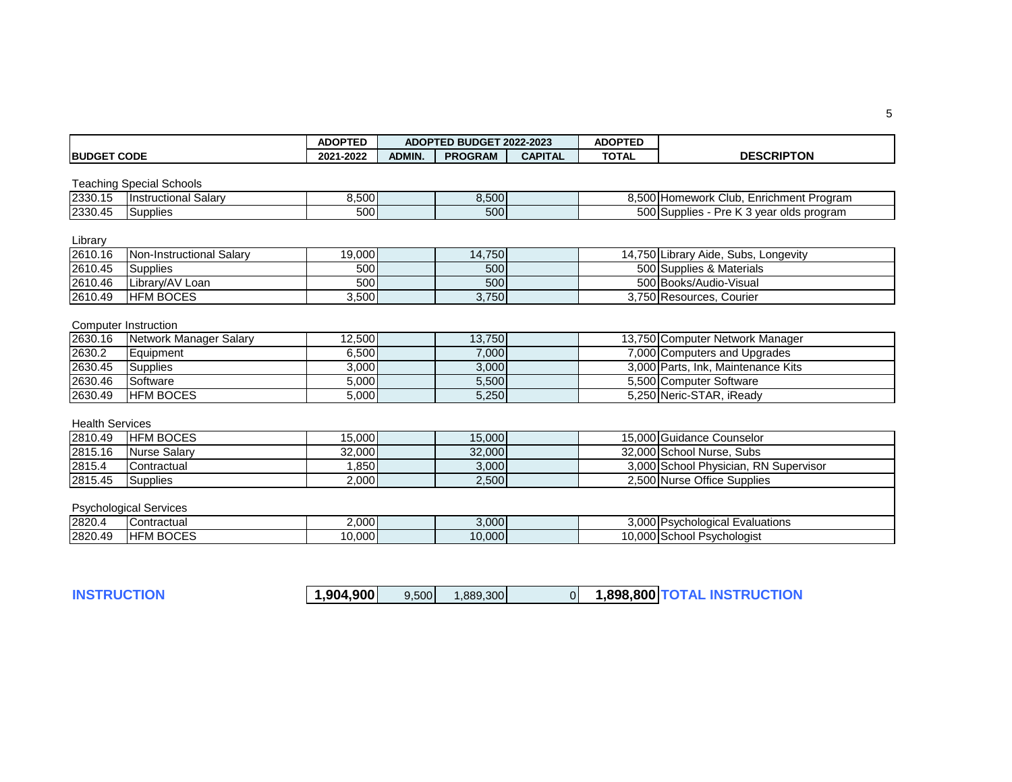|                        |                                 | <b>ADOPTED</b> |               | ADOPTED BUDGET 2022-2023 |                | <b>ADOPTED</b> |                                          |
|------------------------|---------------------------------|----------------|---------------|--------------------------|----------------|----------------|------------------------------------------|
| <b>BUDGET CODE</b>     |                                 | 2021-2022      | <b>ADMIN.</b> | <b>PROGRAM</b>           | <b>CAPITAL</b> | <b>TOTAL</b>   | <b>DESCRIPTON</b>                        |
|                        | <b>Teaching Special Schools</b> |                |               |                          |                |                |                                          |
| 2330.15                | <b>Instructional Salary</b>     | 8,500          |               | 8,500                    |                |                | 8,500 Homework Club, Enrichment Program  |
| 2330.45                | Supplies                        | 500            |               | 500                      |                |                | 500 Supplies - Pre K 3 year olds program |
| Library                |                                 |                |               |                          |                |                |                                          |
| 2610.16                | Non-Instructional Salary        | 19,000         |               | 14,750                   |                |                | 14,750 Library Aide, Subs, Longevity     |
| 2610.45                | <b>Supplies</b>                 | 500            |               | 500                      |                |                | 500 Supplies & Materials                 |
| 2610.46                | Library/AV Loan                 | 500            |               | 500                      |                |                | 500 Books/Audio-Visual                   |
| 2610.49                | <b>HFM BOCES</b>                | 3,500          |               | 3,750                    |                |                | 3,750 Resources, Courier                 |
|                        | <b>Computer Instruction</b>     |                |               |                          |                |                |                                          |
| 2630.16                | Network Manager Salary          | 12,500         |               | 13,750                   |                |                | 13,750 Computer Network Manager          |
| 2630.2                 | Equipment                       | 6,500          |               | 7,000                    |                |                | 7,000 Computers and Upgrades             |
| 2630.45                | Supplies                        | 3,000          |               | 3,000                    |                |                | 3,000 Parts, Ink, Maintenance Kits       |
| 2630.46                | Software                        | 5,000          |               | 5,500                    |                |                | 5,500 Computer Software                  |
| 2630.49                | <b>HFM BOCES</b>                | 5,000          |               | 5,250                    |                |                | 5,250 Neric-STAR, iReady                 |
| <b>Health Services</b> |                                 |                |               |                          |                |                |                                          |
| 2810.49                | <b>HFM BOCES</b>                | 15,000         |               | 15,000                   |                |                | 15,000 Guidance Counselor                |
| 2815.16                | <b>Nurse Salary</b>             | 32,000         |               | 32,000                   |                |                | 32,000 School Nurse, Subs                |
| 2815.4                 | Contractual                     | 1,850          |               | 3,000                    |                |                | 3,000 School Physician, RN Supervisor    |
| 2815.45                | Supplies                        | 2,000          |               | 2,500                    |                |                | 2,500 Nurse Office Supplies              |
|                        | <b>Psychological Services</b>   |                |               |                          |                |                |                                          |
| 2820.4                 | Contractual                     | 2,000          |               | 3,000                    |                |                | 3,000 Psychological Evaluations          |
| 2820.49                | <b>HFM BOCES</b>                | 10,000         |               | 10,000                   |                |                | 10,000 School Psychologist               |
|                        |                                 |                |               |                          |                |                |                                          |

**INSTRUCTION 1,904,900** 9,500 1,889,300 0 **1,898,800 TOTAL INSTRUCTION**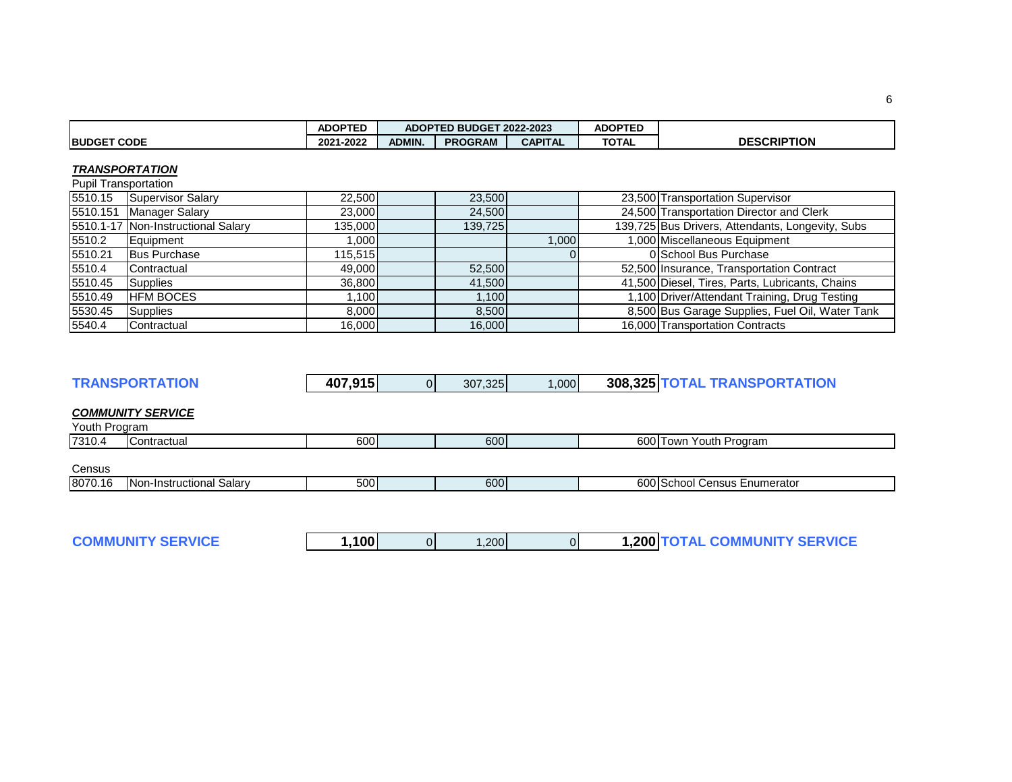|                    | <b>ADOPTED</b>    |               | ADOPTED BUDGET 2022-2023 |                | <b>ADOPTED</b> |                    |
|--------------------|-------------------|---------------|--------------------------|----------------|----------------|--------------------|
| <b>BUDGET CODE</b> | -2022<br>$2021 -$ | <b>ADMIN.</b> | <b>PROGRAM</b>           | <b>CAPITAL</b> | <b>TOTAL</b>   | <b>DESCRIPTION</b> |

### *TRANSPORTATION*

Pupil Transportation

| 5510.15  | Supervisor Salary                  | 22,500  | 23,500  |       | 23,500 Transportation Supervisor                 |
|----------|------------------------------------|---------|---------|-------|--------------------------------------------------|
| 5510.151 | <b>Manager Salary</b>              | 23,000  | 24,500  |       | 24,500 Transportation Director and Clerk         |
|          | 5510.1-17 Non-Instructional Salary | 135,000 | 139,725 |       | 139,725 Bus Drivers, Attendants, Longevity, Subs |
| 5510.2   | Equipment                          | .0001   |         | 1.000 | 1,000 Miscellaneous Equipment                    |
| 5510.21  | <b>Bus Purchase</b>                | 115.515 |         |       | 0 School Bus Purchase                            |
| 5510.4   | Contractual                        | 49,000  | 52,500  |       | 52,500 Insurance, Transportation Contract        |
| 5510.45  | Supplies                           | 36.800  | 41,500  |       | 41,500 Diesel, Tires, Parts, Lubricants, Chains  |
| 5510.49  | <b>HFM BOCES</b>                   | .1001   | 1.100   |       | 1,100 Driver/Attendant Training, Drug Testing    |
| 5530.45  | Supplies                           | 8.000   | 8.500   |       | 8,500 Bus Garage Supplies, Fuel Oil, Water Tank  |
| 5540.4   | Contractual                        | 16,000  | 16,000  |       | 16,000 Transportation Contracts                  |

|  | <b>TRANSPORTATION</b> | 407,915 | ΩI | 307.325 | ,000 |  | 308,325 TOTAL TRANSPORTATION |
|--|-----------------------|---------|----|---------|------|--|------------------------------|
|--|-----------------------|---------|----|---------|------|--|------------------------------|

### *COMMUNITY SERVICE*

Youth Program

| 7310.4 | ;ontractual | $\sim$<br>600 | 600 | . | Youth<br>Program<br>low. |
|--------|-------------|---------------|-----|---|--------------------------|
|        |             |               |     |   |                          |

## **Census**

| $-00$<br>0070<br>600l<br>$\sim$ $\sim$ $\sim$<br>salarv<br>.umerator<br>Incti<br>uctional<br>. Nor<br>$\pm 10^\circ$<br>. .<br>$\sim$<br><br>. .<br>. .<br>OU I U.<br>.<br>וטטט<br>$\overline{\phantom{a}}$<br>.<br>.ונוי |  |
|---------------------------------------------------------------------------------------------------------------------------------------------------------------------------------------------------------------------------|--|

| <b>COMMUNITY SERVICE</b> | ,100 |  | ,200 |  |  | <b>1,200 TOTAL COMMUNITY SERVICE</b> |
|--------------------------|------|--|------|--|--|--------------------------------------|
|--------------------------|------|--|------|--|--|--------------------------------------|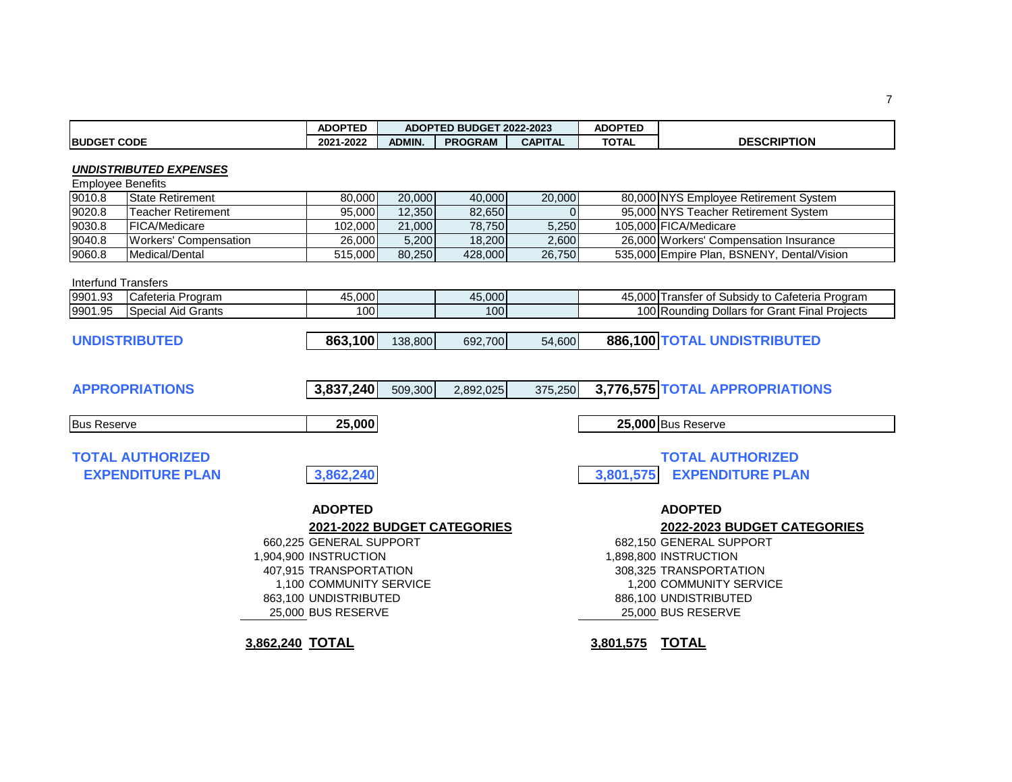|                            |                                                    | <b>ADOPTED</b>                                                                                                                                                                                        |               | ADOPTED BUDGET 2022-2023 |                | <b>ADOPTED</b> |                                                                                                                                                                                                       |
|----------------------------|----------------------------------------------------|-------------------------------------------------------------------------------------------------------------------------------------------------------------------------------------------------------|---------------|--------------------------|----------------|----------------|-------------------------------------------------------------------------------------------------------------------------------------------------------------------------------------------------------|
| <b>BUDGET CODE</b>         |                                                    | 2021-2022                                                                                                                                                                                             | <b>ADMIN.</b> | <b>PROGRAM</b>           | <b>CAPITAL</b> | <b>TOTAL</b>   | <b>DESCRIPTION</b>                                                                                                                                                                                    |
| <b>Employee Benefits</b>   | <b>UNDISTRIBUTED EXPENSES</b>                      |                                                                                                                                                                                                       |               |                          |                |                |                                                                                                                                                                                                       |
| 9010.8                     | <b>State Retirement</b>                            | 80,000                                                                                                                                                                                                | 20,000        | 40,000                   | 20,000         |                | 80,000 NYS Employee Retirement System                                                                                                                                                                 |
| 9020.8                     | <b>Teacher Retirement</b>                          | 95,000                                                                                                                                                                                                | 12,350        | 82,650                   | $\Omega$       |                | 95,000 NYS Teacher Retirement System                                                                                                                                                                  |
| 9030.8                     | FICA/Medicare                                      | 102,000                                                                                                                                                                                               | 21,000        | 78,750                   | 5,250          |                | 105,000 FICA/Medicare                                                                                                                                                                                 |
| 9040.8                     | <b>Workers' Compensation</b>                       | 26,000                                                                                                                                                                                                | 5,200         | 18,200                   | 2,600          |                | 26,000 Workers' Compensation Insurance                                                                                                                                                                |
| 9060.8                     | Medical/Dental                                     | 515,000                                                                                                                                                                                               | 80,250        | 428,000                  | 26,750         |                | 535,000 Empire Plan, BSNENY, Dental/Vision                                                                                                                                                            |
| <b>Interfund Transfers</b> |                                                    |                                                                                                                                                                                                       |               |                          |                |                |                                                                                                                                                                                                       |
| 9901.93                    | Cafeteria Program                                  | 45,000                                                                                                                                                                                                |               | 45,000                   |                |                | 45,000 Transfer of Subsidy to Cafeteria Program                                                                                                                                                       |
| 9901.95                    | <b>Special Aid Grants</b>                          | 100                                                                                                                                                                                                   |               | 100                      |                |                | 100 Rounding Dollars for Grant Final Projects                                                                                                                                                         |
|                            | <b>UNDISTRIBUTED</b>                               | 863,100                                                                                                                                                                                               | 138,800       | 692,700                  | 54,600         |                | 886,100 TOTAL UNDISTRIBUTED                                                                                                                                                                           |
|                            | <b>APPROPRIATIONS</b>                              | 3,837,240                                                                                                                                                                                             | 509,300       | 2,892,025                | 375,250        |                | 3,776,575 TOTAL APPROPRIATIONS                                                                                                                                                                        |
| <b>Bus Reserve</b>         |                                                    | 25,000                                                                                                                                                                                                |               |                          |                |                | 25,000 Bus Reserve                                                                                                                                                                                    |
|                            | <b>TOTAL AUTHORIZED</b><br><b>EXPENDITURE PLAN</b> | 3,862,240                                                                                                                                                                                             |               |                          |                | 3,801,575      | <b>TOTAL AUTHORIZED</b><br><b>EXPENDITURE PLAN</b>                                                                                                                                                    |
|                            |                                                    | <b>ADOPTED</b><br>2021-2022 BUDGET CATEGORIES<br>660,225 GENERAL SUPPORT<br>1,904,900 INSTRUCTION<br>407,915 TRANSPORTATION<br>1,100 COMMUNITY SERVICE<br>863,100 UNDISTRIBUTED<br>25,000 BUS RESERVE |               |                          |                |                | <b>ADOPTED</b><br>2022-2023 BUDGET CATEGORIES<br>682,150 GENERAL SUPPORT<br>1,898,800 INSTRUCTION<br>308.325 TRANSPORTATION<br>1,200 COMMUNITY SERVICE<br>886,100 UNDISTRIBUTED<br>25,000 BUS RESERVE |
|                            |                                                    | 3,862,240 TOTAL                                                                                                                                                                                       |               |                          |                | 3,801,575      | <b>TOTAL</b>                                                                                                                                                                                          |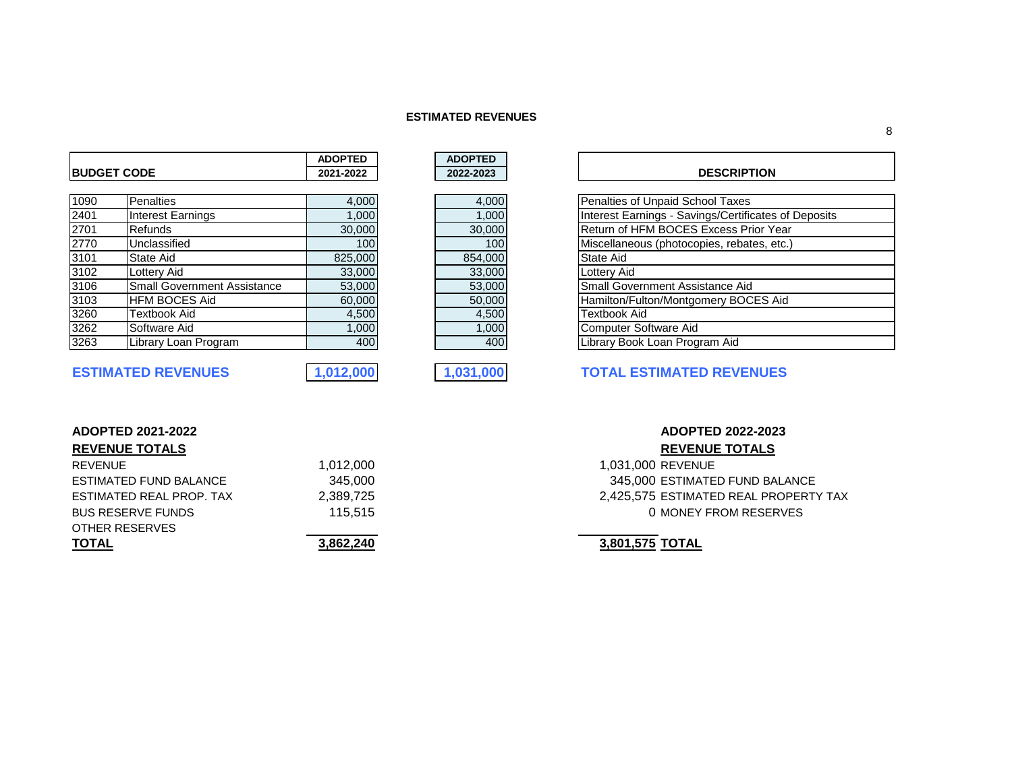### **ESTIMATED REVENUES**

|      |                                    | <b>ADOPTED</b> | <b>ADOPTED</b> |                                                      |
|------|------------------------------------|----------------|----------------|------------------------------------------------------|
|      | <b>IBUDGET CODE</b>                | 2021-2022      | 2022-2023      | <b>DESCRIPTION</b>                                   |
|      |                                    |                |                |                                                      |
| 1090 | <b>Penalties</b>                   | 4,000          | 4,000          | Penalties of Unpaid School Taxes                     |
| 2401 | <b>Interest Earnings</b>           | 1,000          | 1,000          | Interest Earnings - Savings/Certificates of Deposits |
| 2701 | <b>Refunds</b>                     | 30,000         | 30,000         | Return of HFM BOCES Excess Prior Year                |
| 2770 | Unclassified                       | 100            | 100            | Miscellaneous (photocopies, rebates, etc.)           |
| 3101 | State Aid                          | 825,000        | 854,000        | State Aid                                            |
| 3102 | Lottery Aid                        | 33,000         | 33,000         | Lottery Aid                                          |
| 3106 | <b>Small Government Assistance</b> | 53,000         | 53,000         | Small Government Assistance Aid                      |
| 3103 | <b>HFM BOCES Aid</b>               | 60,000         | 50,000         | Hamilton/Fulton/Montgomery BOCES Aid                 |
| 3260 | Textbook Aid                       | 4,500          | 4,500          | Textbook Aid                                         |
| 3262 | Software Aid                       | 1,000          | 1,000          | <b>Computer Software Aid</b>                         |
| 3263 | Library Loan Program               | 400            | 400            | Library Book Loan Program Aid                        |

| ADOPTED   |
|-----------|
| 2022-2023 |
|           |
| 4,000     |
| 1,000     |
| 30,000    |
| 100       |
| 854,000   |
| 33,000    |
| 53,000    |
| 50,000    |
| 4,500     |
| 1,00      |
| 40        |

## **BUDGET CODE 2021-2022 2022-2023 DESCRIPTION**

| Penalties of Unpaid School Taxes                     |
|------------------------------------------------------|
| Interest Earnings - Savings/Certificates of Deposits |
| Return of HFM BOCES Excess Prior Year                |
| Miscellaneous (photocopies, rebates, etc.)           |
| State Aid                                            |
| <b>Lottery Aid</b>                                   |
| Small Government Assistance Aid                      |
| Hamilton/Fulton/Montgomery BOCES Aid                 |
| <b>Textbook Aid</b>                                  |
| Computer Software Aid                                |
| Library Book Loan Program Aid                        |
|                                                      |

# **ESTIMATED REVENUES 1,012,000 1,031,000 TOTAL ESTIMATED REVENUES**

|  | <b>REVENUE TOTALS</b> |  |
|--|-----------------------|--|
|  |                       |  |

| <b>TOTAL</b>             | 3,862,24 |
|--------------------------|----------|
| OTHER RESERVES           |          |
| <b>BUS RESERVE FUNDS</b> | 115.5'   |
| ESTIMATED REAL PROP. TAX | 2,389,72 |
| ESTIMATED FUND BALANCE   | 345.00   |
| <b>REVENUE</b>           | 1.012.00 |

# **ADOPTED 2021-2022 ADOPTED 2022-2023 REVENUE TOTALS REVENUE TOTALS**

Product 2,031,000 REVENUE ESTIMATED FUND BALANCE 345,000 345,000 ESTIMATED FUND BALANCE ESTIMATED REAL PROPERTY TAX 2,425,575 ESTIMATED REAL PROPERTY TAX External properties and the contract of the MONEY FROM RESERVES

**TOTAL 3,862,240 3,801,575 TOTAL**